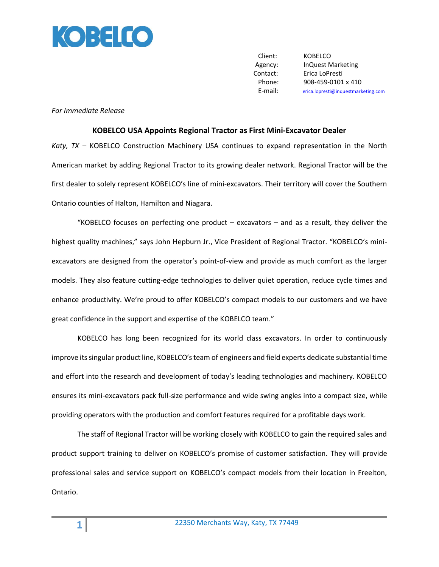

Client: KOBELCO Agency: InQuest Marketing Contact: Erica LoPresti Phone: 908-459-0101 x 410 E-mail: [erica.lopresti@inquestmarketing.com](mailto:erica.lopresti@inquestmarketing.com)

## *For Immediate Release*

## **KOBELCO USA Appoints Regional Tractor as First Mini-Excavator Dealer**

*Katy, TX* – KOBELCO Construction Machinery USA continues to expand representation in the North American market by adding Regional Tractor to its growing dealer network. Regional Tractor will be the first dealer to solely represent KOBELCO's line of mini-excavators. Their territory will cover the Southern Ontario counties of Halton, Hamilton and Niagara.

"KOBELCO focuses on perfecting one product  $-$  excavators  $-$  and as a result, they deliver the highest quality machines," says John Hepburn Jr., Vice President of Regional Tractor. "KOBELCO's miniexcavators are designed from the operator's point-of-view and provide as much comfort as the larger models. They also feature cutting-edge technologies to deliver quiet operation, reduce cycle times and enhance productivity. We're proud to offer KOBELCO's compact models to our customers and we have great confidence in the support and expertise of the KOBELCO team."

KOBELCO has long been recognized for its world class excavators. In order to continuously improve its singular product line, KOBELCO's team of engineers and field experts dedicate substantial time and effort into the research and development of today's leading technologies and machinery. KOBELCO ensures its mini-excavators pack full-size performance and wide swing angles into a compact size, while providing operators with the production and comfort features required for a profitable days work.

The staff of Regional Tractor will be working closely with KOBELCO to gain the required sales and product support training to deliver on KOBELCO's promise of customer satisfaction. They will provide professional sales and service support on KOBELCO's compact models from their location in Freelton, Ontario.